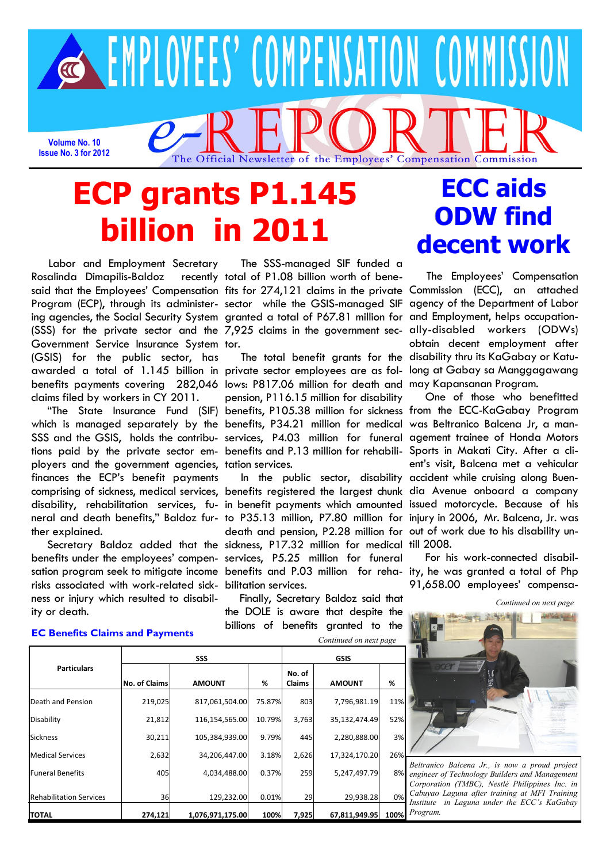

# **ECP grants P1.145 billion in 2011**

 Labor and Employment Secretary Rosalinda Dimapilis-Baldoz said that the Employees' Compensation fits for 274,121 claims in the private Commission (ECC), an attached Program (ECP), through its administer-sector while the GSIS-managed SIF ing agencies, the Social Security System granted a total of P67.81 million for and Employment, helps occupation-(SSS) for the private sector and the 7,925 claims in the government sec-ally-disabled workers (ODWs) Government Service Insurance System tor. (GSIS) for the public sector, has awarded a total of 1.145 billion in private sector employees are as fol- long at Gabay sa Manggagawang benefits payments covering 282,046 lows: P817.06 million for death and may Kapansanan Program. claims filed by workers in CY 2011.

which is managed separately by the benefits, P34.21 million for medical was Beltranico Balcena Jr, a man-SSS and the GSIS, holds the contribu- services, P4.03 million for funeral agement trainee of Honda Motors tions paid by the private sector em-benefits and P.13 million for rehabili-Sports in Makati City. After a cliployers and the government agencies, tation services. finances the ECP's benefit payments comprising of sickness, medical services, benefits registered the largest chunk dia Avenue onboard a company disability, rehabilitation services, fu-in benefit payments which amounted issued motorcycle. Because of his neral and death benefits," Baldoz fur-to P35.13 million, P7.80 million for injury in 2006, Mr. Balcena, Jr. was ther explained.

benefits under the employees' compen-services, P5.25 million for funeral sation program seek to mitigate income benefits and P.03 million for reha-ity, he was granted a total of Php risks associated with work-related sick-bilitation services. ness or injury which resulted to disability or death.

 The SSS-managed SIF funded a recently total of P1.08 billion worth of bene-

 "The State Insurance Fund (SIF) benefits, P105.38 million for sickness from the ECC-KaGabay Program pension, P116.15 million for disability

 Secretary Baldoz added that the sickness, P17.32 million for medical till 2008. death and pension, P2.28 million for out of work due to his disability un-

> Finally, Secretary Baldoz said that the DOLE is aware that despite the billions of benefits granted to the *Continued on next page*

# **ECC aids ODW find decent work**

The total benefit grants for the disability thru its KaGabay or Katu- The Employees' Compensation agency of the Department of Labor obtain decent employment after

 In the public sector, disability accident while cruising along Buen- One of those who benefitted ent's visit, Balcena met a vehicular

> For his work-connected disabil-91,658.00 employees' compensa-

*Continued on next page*



*Beltranico Balcena Jr., is now a proud project engineer of Technology Builders and Management Corporation (TMBC), Nestlé Philippines Inc. in Cabuyao Laguna after training at MFI Training Institute in Laguna under the ECC's KaGabay Program.*

## **EC Benefits Claims and Payments**

| <b>Particulars</b>             | <b>SSS</b>           |                  |        | <b>GSIS</b>             |               |      |
|--------------------------------|----------------------|------------------|--------|-------------------------|---------------|------|
|                                | <b>No. of Claims</b> | <b>AMOUNT</b>    | %      | No. of<br><b>Claims</b> | <b>AMOUNT</b> | %    |
| Death and Pension              | 219,025              | 817,061,504.00   | 75.87% | 803                     | 7,796,981.19  | 11%  |
| Disability                     | 21,812               | 116,154,565.00   | 10.79% | 3,763                   | 35,132,474.49 | 52%  |
| <b>Sickness</b>                | 30,211               | 105,384,939.00   | 9.79%  | 445                     | 2,280,888.00  | 3%   |
| <b>Medical Services</b>        | 2,632                | 34,206,447.00    | 3.18%  | 2,626                   | 17,324,170.20 | 26%  |
| <b>Funeral Benefits</b>        | 405                  | 4,034,488.00     | 0.37%  | 259                     | 5,247,497.79  | 8%   |
| <b>Rehabilitation Services</b> | 36                   | 129,232.00       | 0.01%  | 29                      | 29,938.28     | 0%   |
| ΙΤΟΤΑL                         | 274,121              | 1,076,971,175.00 | 100%   | 7,925                   | 67,811,949.95 | 100% |